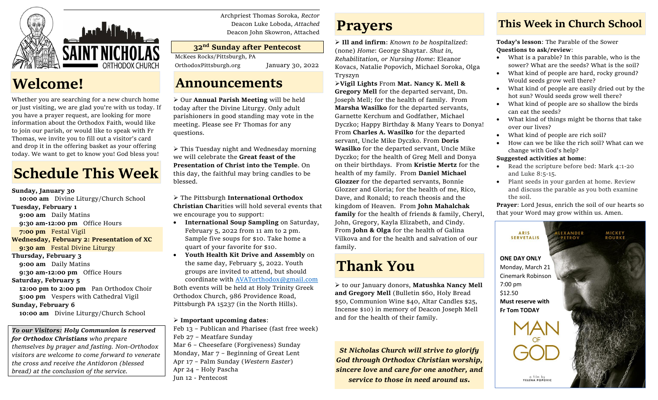

## **Welcome!**

Whether you are searching for a new church home or just visiting, we are glad you're with us today. If you have a prayer request, are looking for more information about the Orthodox Faith, would like to join our parish, or would like to speak with Fr Thomas, we invite you to fill out a visitor's card and drop it in the offering basket as your offering today. We want to get to know you! God bless you!

# **Schedule This Week**

### **Sunday, January 30**

 **10:00 am** Divine Liturgy/Church School

### **Tuesday, February 1**

**9:00 am** Daily Matins

- **9:30 am-12:00 pm** Office Hours
- **7:00 pm** Festal Vigil
- **Wednesday, February 2: Presentation of XC 9:30 am** Festal Divine Liturgy
- **Thursday, February 3**

**9:00 am** Daily Matins

**9:30 am-12:00 pm** Office Hours

### **Saturday, February 5**

 **12:00 pm to 2:00 pm** Pan Orthodox Choir **5:00 pm** Vespers with Cathedral Vigil

### **Sunday, February 6**

 **10:00 am** Divine Liturgy/Church School

### *To our Visitors: Holy Communion is reserved*

*for Orthodox Christians who prepare themselves by prayer and fasting. Non-Orthodox visitors are welcome to come forward to venerate the cross and receive the Antidoron (blessed bread) at the conclusion of the service.*

Archpriest Thomas Soroka, *Rector* Deacon Luke Loboda, *Attached* Deacon John Skowron, Attached

### **32 nd Sunday after Pentecost**

McKees Rocks/Pittsburgh, PA

OrthodoxPittsburgh.org January 30, 2022

## **Announcements**

➢ Our **Annual Parish Meeting** will be held today after the Divine Liturgy. Only adult parishioners in good standing may vote in the meeting. Please see Fr Thomas for any questions.

➢ This Tuesday night and Wednesday morning we will celebrate the **Great feast of the Presentation of Christ into the Temple**. On this day, the faithful may bring candles to be blessed.

➢ The Pittsburgh **International Orthodox Christian Cha**rities will hold several events that we encourage you to support:

- **International Soup Sampling** on Saturday, February 5, 2022 from 11 am to 2 pm. Sample five soups for \$10. Take home a quart of your favorite for \$10.
- **Youth Health Kit Drive and Assembly** on the same day, February 5, 2022. Youth groups are invited to attend, but should coordinate with [AVATorthodox@gmail.com](mailto:AVATorthodox@gmail.com) Both events will be held at Holy Trinity Greek Orthodox Church, 986 Providence Road, Pittsburgh PA 15237 (in the North Hills).

### ➢ **Important upcoming dates**:

Feb 13 – Publican and Pharisee (fast free week) Feb 27 – Meatfare Sunday Mar 6 – Cheesefare (Forgiveness) Sunday Monday, Mar 7 – Beginning of Great Lent Apr 17 – Palm Sunday (*Western Easter*) Apr 24 – Holy Pascha Jun 12 - Pentecost

## **Prayers**

➢ **Ill and infirm**: *Known to be hospitalized*: (none) *Home*: George Shaytar. *Shut in, Rehabilitation, or Nursing Home*: Eleanor Kovacs, Natalie Popovich, Michael Soroka, Olga Tryszyn

➢**Vigil Lights** From **Mat. Nancy K. Mell & Gregory Mell** for the departed servant, Dn. Joseph Mell; for the health of family. From **Marsha Wasilko** for the departed servants, Garnette Kerchum and Godfather, Michael Dyczko; Happy Birthday & Many Years to Donya! From **Charles A. Wasilko** for the departed servant, Uncle Mike Dyczko. From **Doris Wasilko** for the departed servant, Uncle Mike Dyczko; for the health of Greg Mell and Donya on their birthdays. From **Kristie Mertz** for the health of my family. From **Daniel Michael Glozzer** for the departed servants, Bonnie Glozzer and Gloria; for the health of me, Rico, Dave, and Ronald; to reach theosis and the kingdom of Heaven. From **John Mahalchak family** for the health of friends & family, Cheryl, John, Gregory, Kayla Elizabeth, and Cindy. From **John & Olga** for the health of Galina Vilkova and for the health and salvation of our family.

## **Thank You**

➢ to our January donors, **Matushka Nancy Mell and Gregory Mell** (Bulletin \$60, Holy Bread \$50, Communion Wine \$40, Altar Candles \$25, Incense \$10) in memory of Deacon Joseph Mell and for the health of their family.

*St Nicholas Church will strive to glorify God through Orthodox Christian worship, sincere love and care for one another, and service to those in need around us.*

## **This Week in Church School**

**Today's lesson**: The Parable of the Sower **Questions to ask/review**:

- What is a parable? In this parable, who is the sower? What are the seeds? What is the soil?
- What kind of people are hard, rocky ground? Would seeds grow well there?
- What kind of people are easily dried out by the hot sun? Would seeds grow well there?
- What kind of people are so shallow the birds can eat the seeds?
- What kind of things might be thorns that take over our lives?
- What kind of people are rich soil?
- How can we be like the rich soil? What can we change with God's help?

### **Suggested activities at home**:

- Read the scripture before bed: Mark 4:1-20 and Luke 8:5-15.
- Plant seeds in your garden at home. Review and discuss the parable as you both examine the soil.

**Prayer**: Lord Jesus, enrich the soil of our hearts so that your Word may grow within us. Amen.